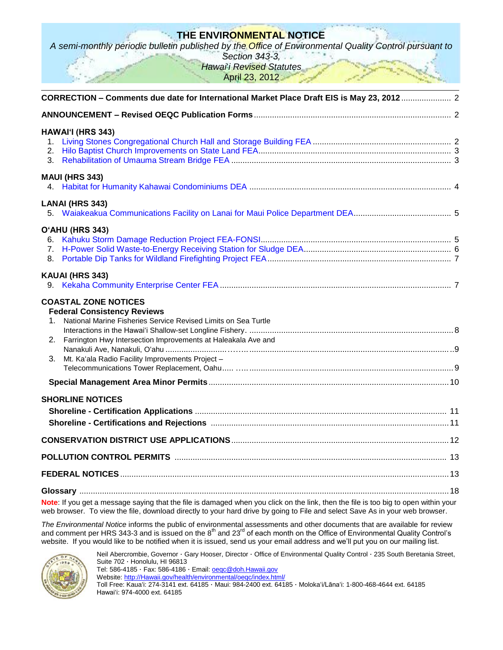# **THE ENVIRONMENTAL NOTICE**

*A semi-monthly periodic bulletin published by the Office of Environmental Quality Control pursuant to* 

*Section 343-3, Hawai*'*i Revised Statutes*

April 23, 2012

| CORRECTION - Comments due date for International Market Place Draft EIS is May 23, 2012  2                                                                                                                                                                          |  |
|---------------------------------------------------------------------------------------------------------------------------------------------------------------------------------------------------------------------------------------------------------------------|--|
|                                                                                                                                                                                                                                                                     |  |
| HAWAI'I (HRS 343)                                                                                                                                                                                                                                                   |  |
| <b>MAUI (HRS 343)</b>                                                                                                                                                                                                                                               |  |
| <b>LANAI (HRS 343)</b>                                                                                                                                                                                                                                              |  |
| O'AHU (HRS 343)<br>8.<br>KAUAI (HRS 343)                                                                                                                                                                                                                            |  |
| <b>COASTAL ZONE NOTICES</b><br><b>Federal Consistency Reviews</b><br>National Marine Fisheries Service Revised Limits on Sea Turtle<br>2. Farrington Hwy Intersection Improvements at Haleakala Ave and<br>3.<br>Mt. Ka'ala Radio Facility Improvements Project -   |  |
|                                                                                                                                                                                                                                                                     |  |
| <b>SHORLINE NOTICES</b>                                                                                                                                                                                                                                             |  |
|                                                                                                                                                                                                                                                                     |  |
|                                                                                                                                                                                                                                                                     |  |
|                                                                                                                                                                                                                                                                     |  |
| Note: If you get a message saying that the file is damaged when you click on the link, then the file is too big to open within your<br>web browser. To view the file, download directly to your hard drive by going to File and select Save As in your web browser. |  |

*The Environmental Notice* informs the public of environmental assessments and other documents that are available for review and comment per HRS 343-3 and is issued on the 8<sup>th</sup> and 23<sup>rd</sup> of each month on the Office of Environmental Quality Control's website. If you would like to be notified when it is issued, send us your email address and we'll put you on our mailing list.



Neil Abercrombie, Governor · Gary Hooser, Director · Office of Environmental Quality Control · 235 South Beretania Street, Suite 702 · Honolulu, HI 96813

Tel: 586-4185 · Fax: 586-4186 · Email: **oegc@doh.Hawaii.gov** Website: [http://Hawaii.gov/health/environmental/oeqc/index.html/](http://hawaii.gov/health/environmental/oeqc/index.html/)

Toll Free: Kauaʻi: 274-3141 ext. 64185 · Maui: 984-2400 ext. 64185 · Molokaʻi/Lānaʻi: 1-800-468-4644 ext. 64185 Hawaiʻi: 974-4000 ext. 64185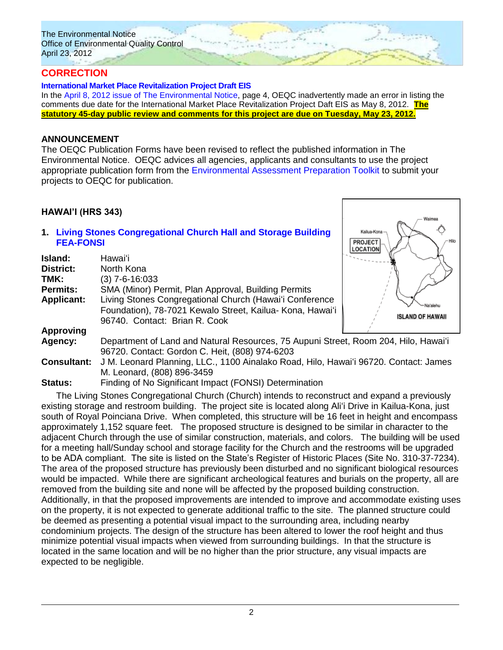# **CORRECTION**

#### **[International Market Place Revitalization Project Draft EIS](http://oeqc.doh.hawaii.gov/Shared%20Documents/EA_and_EIS_Online_Library/Oahu/2010s/2012-04-08-DEIS-International-Market-Place-Revitalization.pdf)**

In the [April 8, 2012 issue of The Environmental Notice,](http://oeqc.doh.hawaii.gov/Shared%20Documents/Environmental_Notice/current_issue.pdf) page 4, OEQC inadvertently made an error in listing the comments due date for the International Market Place Revitalization Project Daft EIS as May 8, 2012. **The statutory 45-day public review and comments for this project are due on Tuesday, May 23, 2012.**

### **ANNOUNCEMENT**

The OEQC Publication Forms have been revised to reflect the published information in The Environmental Notice. OEQC advices all agencies, applicants and consultants to use the project appropriate publication form from the [Environmental Assessment Preparation Toolkit](http://oeqc.doh.hawaii.gov/Shared%20Documents/Forms/AllItems.aspx?RootFolder=%2fShared%20Documents%2fEnvironmental%5fAssessment%5fPrepKit&View=%7bC0C5C897%2d3066%2d4821%2d864E%2d36FB3D77F5D5%7d) to submit your projects to OEQC for publication.

### **HAWAI'I (HRS 343)**

### **1. [Living Stones Congregational Church Hall and Storage Building](http://oeqc.doh.hawaii.gov/Shared%20Documents/EA_and_EIS_Online_Library/Hawaii/2010s/2012-04-23-FEA-Living-Stones-Congregational-Church-Hall-and-Storage.pdf) [FEA-FONSI](http://oeqc.doh.hawaii.gov/Shared%20Documents/EA_and_EIS_Online_Library/Hawaii/2010s/2012-04-23-FEA-Living-Stones-Congregational-Church-Hall-and-Storage.pdf)**

| Island:<br><b>District:</b><br>TMK:<br><b>Permits:</b><br><b>Applicant:</b> | Hawaiʻi<br>North Kona<br>(3) 7-6-16:033<br>SMA (Minor) Permit, Plan Approval, Building Permits<br>Living Stones Congregational Church (Hawai'i Conference |                                     |
|-----------------------------------------------------------------------------|-----------------------------------------------------------------------------------------------------------------------------------------------------------|-------------------------------------|
|                                                                             | Foundation), 78-7021 Kewalo Street, Kailua- Kona, Hawai'i<br>96740. Contact: Brian R. Cook                                                                | Na'alehu<br><b>ISLAND OF HAWAII</b> |
| <b>Approving</b>                                                            |                                                                                                                                                           |                                     |
| Agency:                                                                     | Department of Land and Natural Resources, 75 Aupuni Street, Room 204, Hilo, Hawai'i<br>96720. Contact: Gordon C. Heit, (808) 974-6203                     |                                     |
| <b>Consultant:</b>                                                          | J M. Leonard Planning, LLC., 1100 Ainalako Road, Hilo, Hawai'i 96720. Contact: James<br>M. Leonard, (808) 896-3459                                        |                                     |
|                                                                             |                                                                                                                                                           |                                     |

**PROJECT LLOCATION** 

**Status:** Finding of No Significant Impact (FONSI) Determination

The Living Stones Congregational Church (Church) intends to reconstruct and expand a previously existing storage and restroom building. The project site is located along Aliʻi Drive in Kailua-Kona, just south of Royal Poinciana Drive. When completed, this structure will be 16 feet in height and encompass approximately 1,152 square feet. The proposed structure is designed to be similar in character to the adjacent Church through the use of similar construction, materials, and colors. The building will be used for a meeting hall/Sunday school and storage facility for the Church and the restrooms will be upgraded to be ADA compliant. The site is listed on the State's Register of Historic Places (Site No. 310-37-7234). The area of the proposed structure has previously been disturbed and no significant biological resources would be impacted. While there are significant archeological features and burials on the property, all are removed from the building site and none will be affected by the proposed building construction. Additionally, in that the proposed improvements are intended to improve and accommodate existing uses on the property, it is not expected to generate additional traffic to the site. The planned structure could be deemed as presenting a potential visual impact to the surrounding area, including nearby condominium projects. The design of the structure has been altered to lower the roof height and thus minimize potential visual impacts when viewed from surrounding buildings. In that the structure is located in the same location and will be no higher than the prior structure, any visual impacts are expected to be negligible.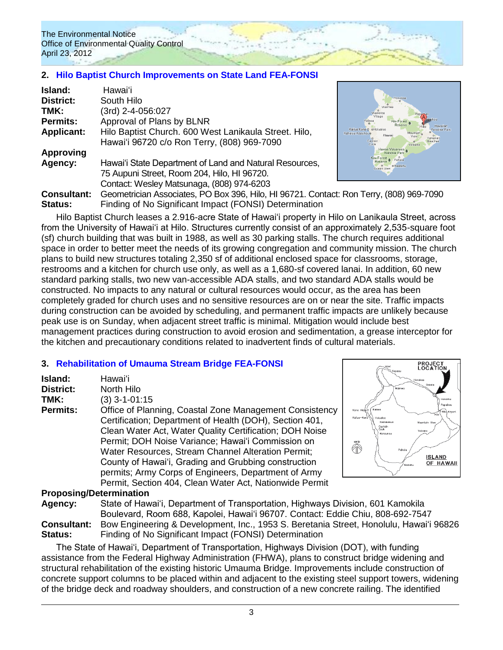## **2. [Hilo Baptist Church Improvements on State Land FEA-FONSI](http://oeqc.doh.hawaii.gov/Shared%20Documents/EA_and_EIS_Online_Library/Hawaii/2010s/2012-04-23-FEA-Hilo-Baptist-Church.pdf)**

| <b>Island:</b>     | Hawaiʻi                                                              |                               |
|--------------------|----------------------------------------------------------------------|-------------------------------|
| <b>District:</b>   | South Hilo                                                           |                               |
| TMK:               | (3rd) 2-4-056:027                                                    |                               |
| <b>Permits:</b>    | Approval of Plans by BLNR                                            | Kal                           |
| <b>Applicant:</b>  | Hilo Baptist Church. 600 West Lanikaula Street. Hilo,                | Kailua Kona C<br>aluu-Keauhou |
|                    | Hawai'i 96720 c/o Ron Terry, (808) 969-7090                          |                               |
| <b>Approving</b>   |                                                                      |                               |
| Agency:            | Hawai'i State Department of Land and Natural Resources,              |                               |
|                    | 75 Aupuni Street, Room 204, Hilo, HI 96720.                          |                               |
|                    | Contact: Wesley Matsunaga, (808) 974-6203                            |                               |
| <b>Consultant:</b> | Geometrician Associates, PO Box 396, Hilo, HI 96721. Contact: Ron Te |                               |
| Statue             | Einding of No Significant Impact (EONSI) Determination               |                               |



**Consultant:** Geometrician Associates, PO Box 396, Hilo, HI 96721. Contact: Ron Terry, (808) 969-7090 **Finding of No Significant Impact (FONSI) I** 

Hilo Baptist Church leases a 2.916-acre State of Hawai'i property in Hilo on Lanikaula Street, across from the University of Hawai'i at Hilo. Structures currently consist of an approximately 2,535-square foot (sf) church building that was built in 1988, as well as 30 parking stalls. The church requires additional space in order to better meet the needs of its growing congregation and community mission. The church plans to build new structures totaling 2,350 sf of additional enclosed space for classrooms, storage, restrooms and a kitchen for church use only, as well as a 1,680-sf covered lanai. In addition, 60 new standard parking stalls, two new van-accessible ADA stalls, and two standard ADA stalls would be constructed. No impacts to any natural or cultural resources would occur, as the area has been completely graded for church uses and no sensitive resources are on or near the site. Traffic impacts during construction can be avoided by scheduling, and permanent traffic impacts are unlikely because peak use is on Sunday, when adjacent street traffic is minimal. Mitigation would include best management practices during construction to avoid erosion and sedimentation, a grease interceptor for the kitchen and precautionary conditions related to inadvertent finds of cultural materials.

### **3. [Rehabilitation of Umauma Stream Bridge](http://oeqc.doh.hawaii.gov/Shared%20Documents/EA_and_EIS_Online_Library/Hawaii/2010s/2012-04-23-FEA-Umauma-Bridge-Rehabilitation-Project.pdf) FEA-FONSI**

| Island:          | Hawaiʻi                                                                                                                                                                                                                                                                                                                                                                                                  |  |
|------------------|----------------------------------------------------------------------------------------------------------------------------------------------------------------------------------------------------------------------------------------------------------------------------------------------------------------------------------------------------------------------------------------------------------|--|
| <b>District:</b> | North Hilo                                                                                                                                                                                                                                                                                                                                                                                               |  |
| TMK:             | $(3)$ 3-1-01:15                                                                                                                                                                                                                                                                                                                                                                                          |  |
| <b>Permits:</b>  | Office of Planning, Coastal Zone Management Consistency<br>Certification; Department of Health (DOH), Section 401,<br>Clean Water Act, Water Quality Certification; DOH Noise<br>Permit; DOH Noise Variance; Hawai'i Commission on<br>Water Resources, Stream Channel Alteration Permit;<br>County of Hawai'i, Grading and Grubbing construction<br>permits; Army Corps of Engineers, Department of Army |  |
|                  | Permit, Section 404, Clean Water Act, Nationwide Permit                                                                                                                                                                                                                                                                                                                                                  |  |
|                  | <b>Proposing/Determination</b>                                                                                                                                                                                                                                                                                                                                                                           |  |



### **Agency:** State of Hawai'i, Department of Transportation, Highways Division, 601 Kamokila Boulevard, Room 688, Kapolei, Hawai'i 96707. Contact: Eddie Chiu, 808-692-7547 **Consultant:** Bow Engineering & Development, Inc., 1953 S. Beretania Street, Honolulu, Hawaiʻi 96826 **Status:** Finding of No Significant Impact (FONSI) Determination

The State of Hawai'i, Department of Transportation, Highways Division (DOT), with funding assistance from the Federal Highway Administration (FHWA), plans to construct bridge widening and structural rehabilitation of the existing historic Umauma Bridge. Improvements include construction of concrete support columns to be placed within and adjacent to the existing steel support towers, widening of the bridge deck and roadway shoulders, and construction of a new concrete railing. The identified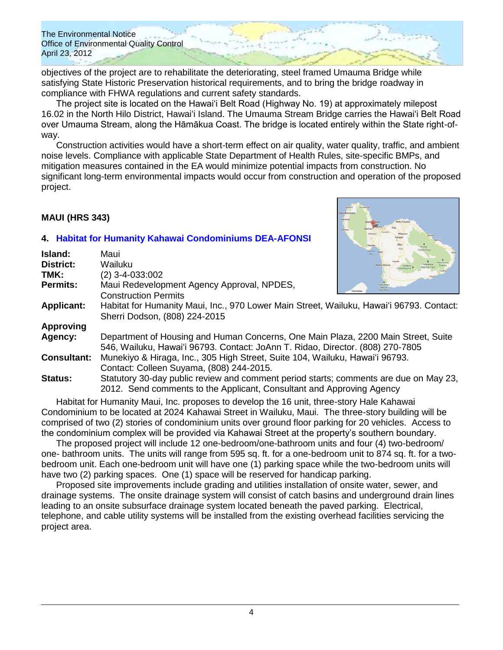objectives of the project are to rehabilitate the deteriorating, steel framed Umauma Bridge while satisfying State Historic Preservation historical requirements, and to bring the bridge roadway in compliance with FHWA regulations and current safety standards.

The project site is located on the Hawai'i Belt Road (Highway No. 19) at approximately milepost 16.02 in the North Hilo District, Hawaiʻi Island. The Umauma Stream Bridge carries the Hawai'i Belt Road over Umauma Stream, along the Hāmākua Coast. The bridge is located entirely within the State right-ofway.

Construction activities would have a short-term effect on air quality, water quality, traffic, and ambient noise levels. Compliance with applicable State Department of Health Rules, site-specific BMPs, and mitigation measures contained in the EA would minimize potential impacts from construction. No significant long-term environmental impacts would occur from construction and operation of the proposed project.

## **MAUI (HRS 343)**

## **4. [Habitat for Humanity Kahawai Condominiums DEA-AFONSI](http://oeqc.doh.hawaii.gov/Shared%20Documents/EA_and_EIS_Online_Library/Maui/2010s/2012-04-23-DEA-Habitat-for-Humanity-Kahawai-Condominiums-in-Wailuku.pdf)**

| Island:            | Maui                                                                                                                                                                |
|--------------------|---------------------------------------------------------------------------------------------------------------------------------------------------------------------|
| District:          | Wailuku                                                                                                                                                             |
| TMK:               | $(2)$ 3-4-033:002                                                                                                                                                   |
| Permits:           | Maui Redevelopment Agency Approval, NPDES,<br><b>Collectoral desa</b><br><b>Construction Permits</b>                                                                |
| <b>Applicant:</b>  | Habitat for Humanity Maui, Inc., 970 Lower Main Street, Wailuku, Hawai'i 96793. Contact:<br>Sherri Dodson, (808) 224-2015                                           |
| <b>Approving</b>   |                                                                                                                                                                     |
| Agency:            | Department of Housing and Human Concerns, One Main Plaza, 2200 Main Street, Suite<br>546, Wailuku, Hawai'i 96793. Contact: JoAnn T. Ridao, Director. (808) 270-7805 |
| <b>Consultant:</b> | Munekiyo & Hiraga, Inc., 305 High Street, Suite 104, Wailuku, Hawai'i 96793.<br>Contact: Colleen Suyama, (808) 244-2015.                                            |
| <b>Status:</b>     | Statutory 30-day public review and comment period starts; comments are due on May 23,<br>2012. Send comments to the Applicant, Consultant and Approving Agency      |

Habitat for Humanity Maui, Inc. proposes to develop the 16 unit, three-story Hale Kahawai Condominium to be located at 2024 Kahawai Street in Wailuku, Maui. The three-story building will be comprised of two (2) stories of condominium units over ground floor parking for 20 vehicles. Access to the condominium complex will be provided via Kahawai Street at the property's southern boundary.

The proposed project will include 12 one-bedroom/one-bathroom units and four (4) two-bedroom/ one- bathroom units. The units will range from 595 sq. ft. for a one-bedroom unit to 874 sq. ft. for a twobedroom unit. Each one-bedroom unit will have one (1) parking space while the two-bedroom units will have two (2) parking spaces. One (1) space will be reserved for handicap parking.

Proposed site improvements include grading and utilities installation of onsite water, sewer, and drainage systems. The onsite drainage system will consist of catch basins and underground drain lines leading to an onsite subsurface drainage system located beneath the paved parking. Electrical, telephone, and cable utility systems will be installed from the existing overhead facilities servicing the project area.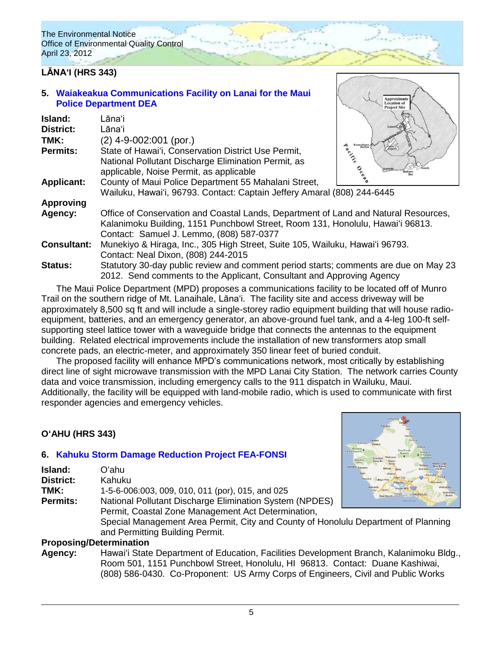# **LĀNAʻI (HRS 343)**

### **5. [Waiakeakua Communications Facility](http://oeqc.doh.hawaii.gov/Shared%20Documents/EA_and_EIS_Online_Library/Lanai/2010s/2012-04-23-DEA-Waiakeakua-Communications-Facility-Lanai-For-Maui-Police-Department.pdf) on Lanai for the Maui [Police Department DEA](http://oeqc.doh.hawaii.gov/Shared%20Documents/EA_and_EIS_Online_Library/Lanai/2010s/2012-04-23-DEA-Waiakeakua-Communications-Facility-Lanai-For-Maui-Police-Department.pdf)**

| Island:            | Lānaʻi                                                                               |            |
|--------------------|--------------------------------------------------------------------------------------|------------|
| <b>District:</b>   | Lānaʻi                                                                               |            |
|                    |                                                                                      |            |
| TMK:               | $(2)$ 4-9-002:001 (por.)                                                             | Kaumalapau |
| <b>Permits:</b>    | State of Hawai'i, Conservation District Use Permit,                                  | Pacific    |
|                    | National Pollutant Discharge Elimination Permit, as                                  |            |
|                    | applicable, Noise Permit, as applicable                                              |            |
| <b>Applicant:</b>  | County of Maui Police Department 55 Mahalani Street,                                 |            |
|                    | Wailuku, Hawai'i, 96793. Contact: Captain Jeffery Amaral (808) 244-6445              |            |
| <b>Approving</b>   |                                                                                      |            |
| Agency:            | Office of Conservation and Coastal Lands, Department of Land and Natural Resources,  |            |
|                    | Kalanimoku Building, 1151 Punchbowl Street, Room 131, Honolulu, Hawai'i 96813.       |            |
|                    | Contact: Samuel J. Lemmo, (808) 587-0377                                             |            |
|                    |                                                                                      |            |
| <b>Consultant:</b> | Munekiyo & Hiraga, Inc., 305 High Street, Suite 105, Wailuku, Hawai'i 96793.         |            |
|                    | Contact: Neal Dixon, (808) 244-2015                                                  |            |
| <b>Status:</b>     | Statutory 30-day public review and comment period starts; comments are due on May 23 |            |
|                    | 2012. Send comments to the Applicant, Consultant and Approving Agency                |            |

The Maui Police Department (MPD) proposes a communications facility to be located off of Munro Trail on the southern ridge of Mt. Lanaihale, Lānaʻi. The facility site and access driveway will be approximately 8,500 sq ft and will include a single-storey radio equipment building that will house radioequipment, batteries, and an emergency generator, an above-ground fuel tank, and a 4-leg 100-ft selfsupporting steel lattice tower with a waveguide bridge that connects the antennas to the equipment building. Related electrical improvements include the installation of new transformers atop small concrete pads, an electric-meter, and approximately 350 linear feet of buried conduit.

The proposed facility will enhance MPD's communications network, most critically by establishing direct line of sight microwave transmission with the MPD Lanai City Station. The network carries County data and voice transmission, including emergency calls to the 911 dispatch in Wailuku, Maui. Additionally, the facility will be equipped with land-mobile radio, which is used to communicate with first responder agencies and emergency vehicles.

## **OʻAHU (HRS 343)**

## **6. [Kahuku Storm Damage Reduction Project](http://oeqc.doh.hawaii.gov/Shared%20Documents/EA_and_EIS_Online_Library/Oahu/2010s/2012-04-23-FEA-Kahuku-Storm-Reduction-Project.pdf) FEA-FONSI**

|                  |                                                                                    | $-0.01141$<br>Makaha Wajanae                                                         |
|------------------|------------------------------------------------------------------------------------|--------------------------------------------------------------------------------------|
| Island:          | Oʻahu.                                                                             |                                                                                      |
| <b>District:</b> | Kahuku                                                                             | Nanakuli<br>Vilage Park<br>Waipahu                                                   |
| TMK:             | 1-5-6-006:003, 009, 010, 011 (por), 015, and 025                                   | Waimanalo<br>Makakilo<br>Waimanak<br><b>Iroquois</b><br><b>Honolulu</b><br>Ewa Beach |
| <b>Permits:</b>  | National Pollutant Discharge Elimination System (NPDES)                            | Mamala Bay                                                                           |
|                  | Permit, Coastal Zone Management Act Determination,                                 |                                                                                      |
|                  | Special Management Area Permit, City and County of Honolulu Department of Planning |                                                                                      |
|                  | and Permitting Building Permit.                                                    |                                                                                      |
|                  | <b>Dranacina/Determination</b>                                                     |                                                                                      |

### **Proposing/Determination**

**Agency:** Hawaiʻi State Department of Education, Facilities Development Branch, Kalanimoku Bldg., Room 501, 1151 Punchbowl Street, Honolulu, HI 96813. Contact: Duane Kashiwai, (808) 586-0430. Co-Proponent: US Army Corps of Engineers, Civil and Public Works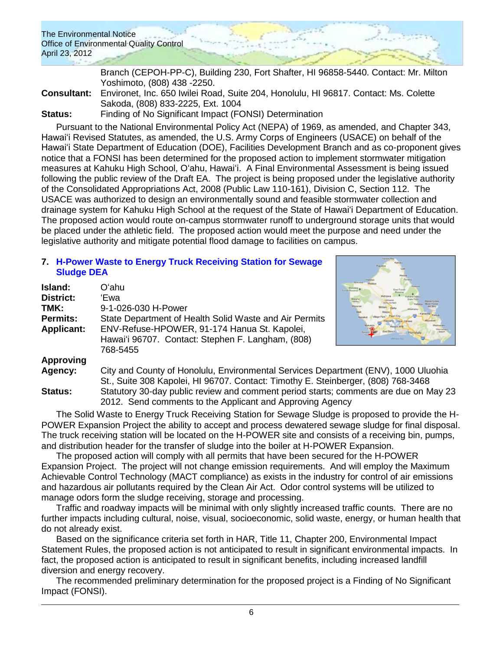Branch (CEPOH-PP-C), Building 230, Fort Shafter, HI 96858-5440. Contact: Mr. Milton Yoshimoto, (808) 438 -2250. **Consultant:** Environet, Inc. 650 Iwilei Road, Suite 204, Honolulu, HI 96817. Contact: Ms. Colette Sakoda, (808) 833-2225, Ext. 1004 **Status:** Finding of No Significant Impact (FONSI) Determination

Pursuant to the National Environmental Policy Act (NEPA) of 1969, as amended, and Chapter 343, Hawaiʻi Revised Statutes, as amended, the U.S. Army Corps of Engineers (USACE) on behalf of the Hawaiʻi State Department of Education (DOE), Facilities Development Branch and as co-proponent gives notice that a FONSI has been determined for the proposed action to implement stormwater mitigation measures at Kahuku High School, Oʻahu, Hawaiʻi. A Final Environmental Assessment is being issued following the public review of the Draft EA. The project is being proposed under the legislative authority of the Consolidated Appropriations Act, 2008 (Public Law 110-161), Division C, Section 112. The USACE was authorized to design an environmentally sound and feasible stormwater collection and drainage system for Kahuku High School at the request of the State of Hawaiʻi Department of Education. The proposed action would route on-campus stormwater runoff to underground storage units that would be placed under the athletic field. The proposed action would meet the purpose and need under the legislative authority and mitigate potential flood damage to facilities on campus.

### **7. [H-Power Waste to Energy Truck Receiving Station for Sewage](http://oeqc.doh.hawaii.gov/Shared%20Documents/EA_and_EIS_Online_Library/Oahu/2010s/2012-04-23-DEA-HPower-Waste-To-Energy-Receiving-Station.pdf)  [Sludge](http://oeqc.doh.hawaii.gov/Shared%20Documents/EA_and_EIS_Online_Library/Oahu/2010s/2012-04-23-DEA-HPower-Waste-To-Energy-Receiving-Station.pdf) DEA**

| Island:           | Oʻahu                                                                               |  |
|-------------------|-------------------------------------------------------------------------------------|--|
| District:         | 'Ewa                                                                                |  |
| TMK:              | 9-1-026-030 H-Power                                                                 |  |
| <b>Permits:</b>   | State Department of Health Solid Waste and Air Permits                              |  |
| <b>Applicant:</b> | ENV-Refuse-HPOWER, 91-174 Hanua St. Kapolei,                                        |  |
|                   | Hawai'i 96707. Contact: Stephen F. Langham, (808)                                   |  |
|                   | 768-5455                                                                            |  |
| <b>Approving</b>  |                                                                                     |  |
| Agency:           | City and County of Honolulu, Environmental Services Department (ENV), 1000 Uluohia  |  |
|                   | St., Suite 308 Kapolei, HI 96707. Contact: Timothy E. Steinberger, (808) 768-3468   |  |
| Status:           | Statutory 30-day public review and comment period starts: comments are due on May 2 |  |

berger, (808) 768-3468 comments are due on May 23 2012. Send comments to the Applicant and Approving Agency

The Solid Waste to Energy Truck Receiving Station for Sewage Sludge is proposed to provide the H-POWER Expansion Project the ability to accept and process dewatered sewage sludge for final disposal. The truck receiving station will be located on the H-POWER site and consists of a receiving bin, pumps, and distribution header for the transfer of sludge into the boiler at H-POWER Expansion.

The proposed action will comply with all permits that have been secured for the H-POWER Expansion Project. The project will not change emission requirements. And will employ the Maximum Achievable Control Technology (MACT compliance) as exists in the industry for control of air emissions and hazardous air pollutants required by the Clean Air Act. Odor control systems will be utilized to manage odors form the sludge receiving, storage and processing.

Traffic and roadway impacts will be minimal with only slightly increased traffic counts. There are no further impacts including cultural, noise, visual, socioeconomic, solid waste, energy, or human health that do not already exist.

Based on the significance criteria set forth in HAR, Title 11, Chapter 200, Environmental Impact Statement Rules, the proposed action is not anticipated to result in significant environmental impacts. In fact, the proposed action is anticipated to result in significant benefits, including increased landfill diversion and energy recovery.

The recommended preliminary determination for the proposed project is a Finding of No Significant Impact (FONSI).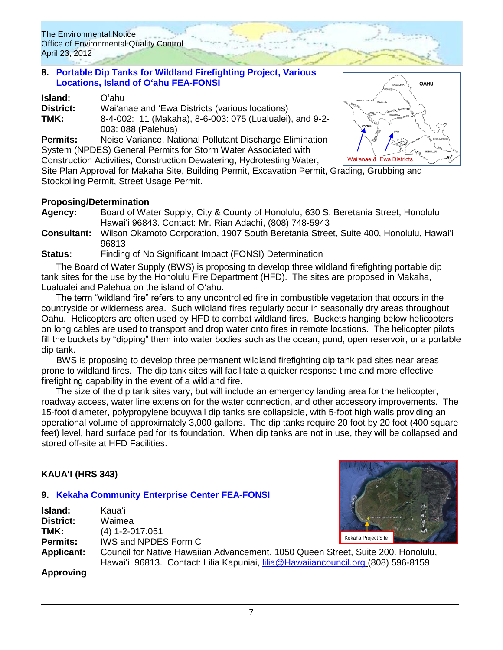### **8. [Portable Dip Tanks for Wildland Firefighting Project, Various](http://oeqc.doh.hawaii.gov/Shared%20Documents/EA_and_EIS_Online_Library/Oahu/2010s/2012-04-23-FEA-Portable-Tanks-for-Wildland-Firefighting-Various-Locations.pdf)  [Locations, Island of Oʻahu FEA-FONSI](http://oeqc.doh.hawaii.gov/Shared%20Documents/EA_and_EIS_Online_Library/Oahu/2010s/2012-04-23-FEA-Portable-Tanks-for-Wildland-Firefighting-Various-Locations.pdf)**

| Island:   | Oʻahu.                                                                         |
|-----------|--------------------------------------------------------------------------------|
| District: | Wai'anae and 'Ewa Districts (various locations)                                |
| TMK:      | 8-4-002: 11 (Makaha), 8-6-003: 075 (Lualualei), and 9-2-<br>003: 088 (Palehua) |

**Permits:** Noise Variance, National Pollutant Discharge Elimination System (NPDES) General Permits for Storm Water Associated with Construction Activities, Construction Dewatering, Hydrotesting Water,



Site Plan Approval for Makaha Site, Building Permit, Excavation Permit, Grading, Grubbing and Stockpiling Permit, Street Usage Permit.

## **Proposing/Determination**

- **Agency:** Board of Water Supply, City & County of Honolulu, 630 S. Beretania Street, Honolulu Hawaiʻi 96843. Contact: Mr. Rian Adachi, (808) 748-5943
- **Consultant:** Wilson Okamoto Corporation, 1907 South Beretania Street, Suite 400, Honolulu, Hawaiʻi 96813

**Status:** Finding of No Significant Impact (FONSI) Determination

The Board of Water Supply (BWS) is proposing to develop three wildland firefighting portable dip tank sites for the use by the Honolulu Fire Department (HFD). The sites are proposed in Makaha, Lualualei and Palehua on the island of Oʻahu.

The term "wildland fire" refers to any uncontrolled fire in combustible vegetation that occurs in the countryside or wilderness area. Such wildland fires regularly occur in seasonally dry areas throughout Oahu. Helicopters are often used by HFD to combat wildland fires. Buckets hanging below helicopters on long cables are used to transport and drop water onto fires in remote locations. The helicopter pilots fill the buckets by "dipping" them into water bodies such as the ocean, pond, open reservoir, or a portable dip tank.

BWS is proposing to develop three permanent wildland firefighting dip tank pad sites near areas prone to wildland fires. The dip tank sites will facilitate a quicker response time and more effective firefighting capability in the event of a wildland fire.

The size of the dip tank sites vary, but will include an emergency landing area for the helicopter, roadway access, water line extension for the water connection, and other accessory improvements. The 15-foot diameter, polypropylene bouywall dip tanks are collapsible, with 5-foot high walls providing an operational volume of approximately 3,000 gallons. The dip tanks require 20 foot by 20 foot (400 square feet) level, hard surface pad for its foundation. When dip tanks are not in use, they will be collapsed and stored off-site at HFD Facilities.

## **KAUAʻI (HRS 343)**

## **9. [Kekaha Community Enterprise Center](http://oeqc.doh.hawaii.gov/Shared%20Documents/EA_and_EIS_Online_Library/Kauai/2010s/2012-04-23-FEA-Kekaha-Community-Enterprise-Center.pdf) FEA-FONSI**

| Island:           | Kauaʻi                                                                                                                                                               |                     |
|-------------------|----------------------------------------------------------------------------------------------------------------------------------------------------------------------|---------------------|
| <b>District:</b>  | Waimea                                                                                                                                                               |                     |
| TMK:              | $(4)$ 1-2-017:051                                                                                                                                                    |                     |
| Permits:          | IWS and NPDES Form C                                                                                                                                                 | Kekaha Project Site |
| <b>Applicant:</b> | Council for Native Hawaiian Advancement, 1050 Queen Street, Suite 200. Honolulu,<br>Hawai'i 96813. Contact: Lilia Kapuniai, lilia@Hawaiiancouncil.org (808) 596-8159 |                     |
|                   |                                                                                                                                                                      |                     |

**Approving**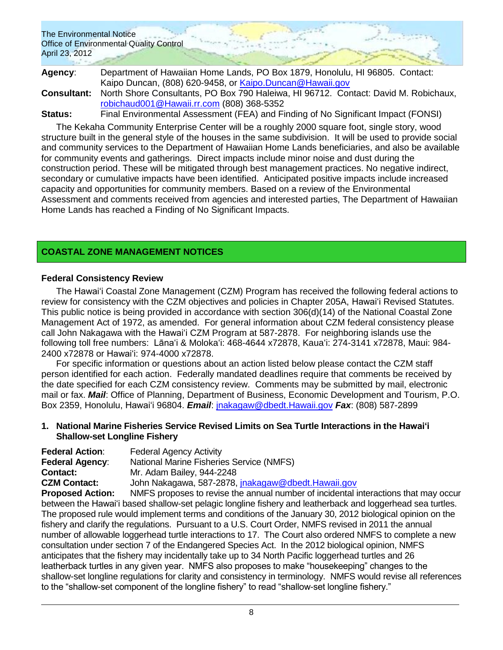**Agency**: Department of Hawaiian Home Lands, PO Box 1879, Honolulu, HI 96805. Contact: Kaipo Duncan, (808) 620-9458, or [Kaipo.Duncan@Hawaii.gov](mailto:Kaipo.Duncan@Hawaii.gov) **Consultant:** North Shore Consultants, PO Box 790 Haleiwa, HI 96712. Contact: David M. Robichaux, [robichaud001@Hawaii.rr.com](mailto:robichaud001@Hawaii.rr.com) (808) 368-5352

**Status:** Final Environmental Assessment (FEA) and Finding of No Significant Impact (FONSI)

The Kekaha Community Enterprise Center will be a roughly 2000 square foot, single story, wood structure built in the general style of the houses in the same subdivision. It will be used to provide social and community services to the Department of Hawaiian Home Lands beneficiaries, and also be available for community events and gatherings. Direct impacts include minor noise and dust during the construction period. These will be mitigated through best management practices. No negative indirect, secondary or cumulative impacts have been identified. Anticipated positive impacts include increased capacity and opportunities for community members. Based on a review of the Environmental Assessment and comments received from agencies and interested parties, The Department of Hawaiian Home Lands has reached a Finding of No Significant Impacts.

## **COASTAL ZONE MANAGEMENT NOTICES**

### **Federal Consistency Review**

The Hawaiʻi Coastal Zone Management (CZM) Program has received the following federal actions to review for consistency with the CZM objectives and policies in Chapter 205A, Hawaiʻi Revised Statutes. This public notice is being provided in accordance with section 306(d)(14) of the National Coastal Zone Management Act of 1972, as amended. For general information about CZM federal consistency please call John Nakagawa with the Hawaiʻi CZM Program at 587-2878. For neighboring islands use the following toll free numbers: Lānaʻi & Molokaʻi: 468-4644 x72878, Kauaʻi: 274-3141 x72878, Maui: 984- 2400 x72878 or Hawaiʻi: 974-4000 x72878.

For specific information or questions about an action listed below please contact the CZM staff person identified for each action. Federally mandated deadlines require that comments be received by the date specified for each CZM consistency review. Comments may be submitted by mail, electronic mail or fax. *Mail*: Office of Planning, Department of Business, Economic Development and Tourism, P.O. Box 2359, Honolulu, Hawaiʻi 96804. *Email*: [jnakagaw@dbedt.Hawaii.gov](mailto:jnakagaw@dbedt.Hawaii.gov) *Fax*: (808) 587-2899

#### **1. National Marine Fisheries Service Revised Limits on Sea Turtle Interactions in the Hawaiʻi Shallow-set Longline Fishery**

| <b>Federal Action:</b> | <b>Federal Agency Activity</b>                             |
|------------------------|------------------------------------------------------------|
| <b>Federal Agency:</b> | <b>National Marine Fisheries Service (NMFS)</b>            |
| <b>Contact:</b>        | Mr. Adam Bailey, 944-2248                                  |
| <b>CZM Contact:</b>    | John Nakagawa, 587-2878, jnakagaw@dbedt.Hawaii.gov         |
| Pronosed Action:       | NMES proposes to revise the appual number of incidental in |

**Proposed Action:** NMFS proposes to revise the annual number of incidental interactions that may occur between the Hawaiʻi based shallow-set pelagic longline fishery and leatherback and loggerhead sea turtles. The proposed rule would implement terms and conditions of the January 30, 2012 biological opinion on the fishery and clarify the regulations. Pursuant to a U.S. Court Order, NMFS revised in 2011 the annual number of allowable loggerhead turtle interactions to 17. The Court also ordered NMFS to complete a new consultation under section 7 of the Endangered Species Act. In the 2012 biological opinion, NMFS anticipates that the fishery may incidentally take up to 34 North Pacific loggerhead turtles and 26 leatherback turtles in any given year. NMFS also proposes to make "housekeeping" changes to the shallow-set longline regulations for clarity and consistency in terminology. NMFS would revise all references to the "shallow-set component of the longline fishery" to read "shallow-set longline fishery."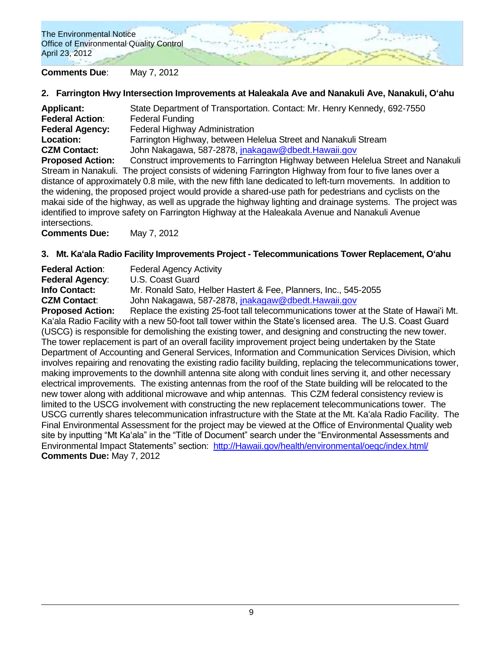## **Comments Due**: May 7, 2012

### **2. Farrington Hwy Intersection Improvements at Haleakala Ave and Nanakuli Ave, Nanakuli, Oʻahu**

| <b>Applicant:</b>       | State Department of Transportation. Contact: Mr. Henry Kennedy, 692-7550         |
|-------------------------|----------------------------------------------------------------------------------|
| <b>Federal Action:</b>  | <b>Federal Funding</b>                                                           |
| <b>Federal Agency:</b>  | <b>Federal Highway Administration</b>                                            |
| Location:               | Farrington Highway, between Helelua Street and Nanakuli Stream                   |
| <b>CZM Contact:</b>     | John Nakagawa, 587-2878, <i>inakagaw@dbedt.Hawaii.gov</i>                        |
| <b>Proposed Action:</b> | Construct improvements to Farrington Highway between Helelua Street and Nanakuli |

Stream in Nanakuli. The project consists of widening Farrington Highway from four to five lanes over a distance of approximately 0.8 mile, with the new fifth lane dedicated to left-turn movements. In addition to the widening, the proposed project would provide a shared-use path for pedestrians and cyclists on the makai side of the highway, as well as upgrade the highway lighting and drainage systems. The project was identified to improve safety on Farrington Highway at the Haleakala Avenue and Nanakuli Avenue intersections.

**Comments Due:** May 7, 2012

### **3. Mt. Kaʻala Radio Facility Improvements Project - Telecommunications Tower Replacement, Oʻahu**

**Federal Action:** Federal Agency Activity **Federal Agency**: U.S. Coast Guard **Info Contact:** Mr. Ronald Sato, Helber Hastert & Fee, Planners, Inc., 545-2055 **CZM Contact**: John Nakagawa, 587-2878, [jnakagaw@dbedt.Hawaii.gov](mailto:jnakagaw@dbedt.Hawaii.gov)

**Proposed Action:** Replace the existing 25-foot tall telecommunications tower at the State of Hawaiʻi Mt. Kaʻala Radio Facility with a new 50-foot tall tower within the State's licensed area. The U.S. Coast Guard (USCG) is responsible for demolishing the existing tower, and designing and constructing the new tower. The tower replacement is part of an overall facility improvement project being undertaken by the State Department of Accounting and General Services, Information and Communication Services Division, which involves repairing and renovating the existing radio facility building, replacing the telecommunications tower, making improvements to the downhill antenna site along with conduit lines serving it, and other necessary electrical improvements. The existing antennas from the roof of the State building will be relocated to the new tower along with additional microwave and whip antennas. This CZM federal consistency review is limited to the USCG involvement with constructing the new replacement telecommunications tower. The USCG currently shares telecommunication infrastructure with the State at the Mt. Kaʻala Radio Facility. The Final Environmental Assessment for the project may be viewed at the Office of Environmental Quality web site by inputting "Mt Kaʻala" in the "Title of Document" search under the "Environmental Assessments and Environmental Impact Statements" section: [http://Hawaii.gov/health/environmental/oeqc/index.html/](http://hawaii.gov/health/environmental/oeqc/index.html/) **Comments Due:** May 7, 2012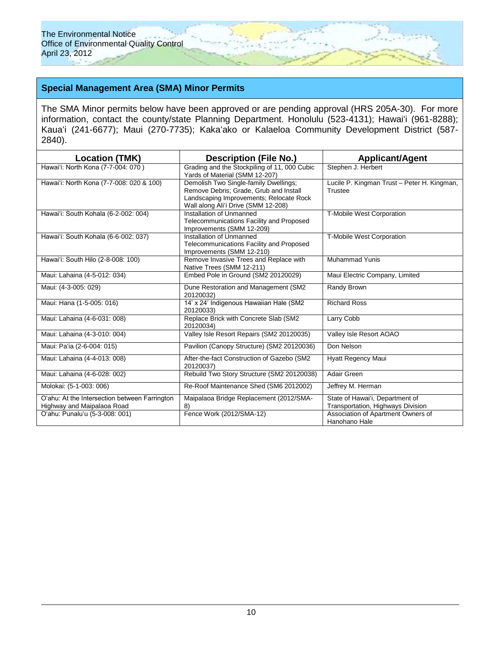## **Special Management Area (SMA) Minor Permits**

The SMA Minor permits below have been approved or are pending approval (HRS 205A-30). For more information, contact the county/state Planning Department. Honolulu (523-4131); Hawaiʻi (961-8288); Kauaʻi (241-6677); Maui (270-7735); Kakaʻako or Kalaeloa Community Development District (587- 2840).

| <b>Location (TMK)</b>                                                       | <b>Description (File No.)</b>                                                                                                                                     | <b>Applicant/Agent</b>                                               |
|-----------------------------------------------------------------------------|-------------------------------------------------------------------------------------------------------------------------------------------------------------------|----------------------------------------------------------------------|
| Hawai'i: North Kona (7-7-004: 070)                                          | Grading and the Stockpiling of 11, 000 Cubic<br>Yards of Material (SMM 12-207)                                                                                    | Stephen J. Herbert                                                   |
| Hawai'i: North Kona (7-7-008: 020 & 100)                                    | Demolish Two Single-family Dwellings;<br>Remove Debris; Grade, Grub and Install<br>Landscaping Improvements; Relocate Rock<br>Wall along Ali'i Drive (SMM 12-208) | Lucile P. Kingman Trust - Peter H. Kingman,<br>Trustee               |
| Hawai'i: South Kohala (6-2-002: 004)                                        | Installation of Unmanned<br>Telecommunications Facility and Proposed<br>Improvements (SMM 12-209)                                                                 | T-Mobile West Corporation                                            |
| Hawai'i: South Kohala (6-6-002: 037)                                        | Installation of Unmanned<br>Telecommunications Facility and Proposed<br>Improvements (SMM 12-210)                                                                 | T-Mobile West Corporation                                            |
| Hawai'i: South Hilo (2-8-008: 100)                                          | Remove Invasive Trees and Replace with<br>Native Trees (SMM 12-211)                                                                                               | <b>Muhammad Yunis</b>                                                |
| Maui: Lahaina (4-5-012: 034)                                                | Embed Pole in Ground (SM2 20120029)                                                                                                                               | Maui Electric Company, Limited                                       |
| Maui: (4-3-005: 029)                                                        | Dune Restoration and Management (SM2<br>20120032)                                                                                                                 | Randy Brown                                                          |
| Maui: Hana (1-5-005: 016)                                                   | 14' x 24' Indigenous Hawaiian Hale (SM2<br>20120033)                                                                                                              | <b>Richard Ross</b>                                                  |
| Maui: Lahaina (4-6-031: 008)                                                | Replace Brick with Concrete Slab (SM2<br>20120034)                                                                                                                | Larry Cobb                                                           |
| Maui: Lahaina (4-3-010: 004)                                                | Valley Isle Resort Repairs (SM2 20120035)                                                                                                                         | Valley Isle Resort AOAO                                              |
| Maui: Pa'ia (2-6-004: 015)                                                  | Pavilion (Canopy Structure) (SM2 20120036)                                                                                                                        | Don Nelson                                                           |
| Maui: Lahaina (4-4-013: 008)                                                | After-the-fact Construction of Gazebo (SM2<br>20120037)                                                                                                           | Hyatt Regency Maui                                                   |
| Maui: Lahaina (4-6-028: 002)                                                | Rebuild Two Story Structure (SM2 20120038)                                                                                                                        | Adair Green                                                          |
| Molokai: (5-1-003: 006)                                                     | Re-Roof Maintenance Shed (SM6 2012002)                                                                                                                            | Jeffrey M. Herman                                                    |
| O'ahu: At the Intersection between Farrington<br>Highway and Maipalaoa Road | Maipalaoa Bridge Replacement (2012/SMA-<br>8)                                                                                                                     | State of Hawai'i, Department of<br>Transportation, Highways Division |
| O'ahu: Punalu'u (5-3-008: 001)                                              | Fence Work (2012/SMA-12)                                                                                                                                          | Association of Apartment Owners of<br>Hanohano Hale                  |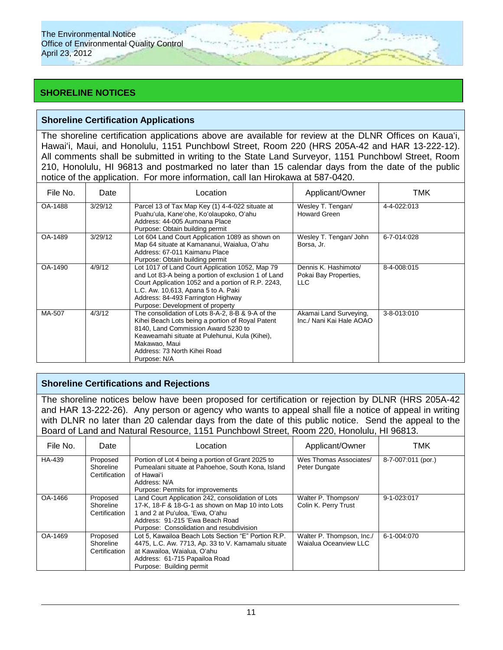# **SHORELINE NOTICES**

## **Shoreline Certification Applications**

The shoreline certification applications above are available for review at the DLNR Offices on Kauaʻi, Hawaiʻi, Maui, and Honolulu, 1151 Punchbowl Street, Room 220 (HRS 205A-42 and HAR 13-222-12). All comments shall be submitted in writing to the State Land Surveyor, 1151 Punchbowl Street, Room 210, Honolulu, HI 96813 and postmarked no later than 15 calendar days from the date of the public notice of the application. For more information, call Ian Hirokawa at 587-0420.

| File No. | Date    | Location                                                                                                                                                                                                                                                                      | Applicant/Owner                                       | тмк         |
|----------|---------|-------------------------------------------------------------------------------------------------------------------------------------------------------------------------------------------------------------------------------------------------------------------------------|-------------------------------------------------------|-------------|
| OA-1488  | 3/29/12 | Parcel 13 of Tax Map Key (1) 4-4-022 situate at<br>Puahu'ula, Kane'ohe, Ko'olaupoko, O'ahu<br>Address: 44-005 Aumoana Place<br>Purpose: Obtain building permit                                                                                                                | Wesley T. Tengan/<br><b>Howard Green</b>              | 4-4-022:013 |
| OA-1489  | 3/29/12 | Lot 604 Land Court Application 1089 as shown on<br>Map 64 situate at Kamananui, Waialua, O'ahu<br>Address: 67-011 Kaimanu Place<br>Purpose: Obtain building permit                                                                                                            | Wesley T. Tengan/ John<br>Borsa, Jr.                  | 6-7-014:028 |
| OA-1490  | 4/9/12  | Lot 1017 of Land Court Application 1052, Map 79<br>and Lot 83-A being a portion of exclusion 1 of Land<br>Court Application 1052 and a portion of R.P. 2243,<br>L.C. Aw. 10,613, Apana 5 to A. Paki<br>Address: 84-493 Farrington Highway<br>Purpose: Development of property | Dennis K. Hashimoto/<br>Pokai Bay Properties,<br>LLC. | 8-4-008:015 |
| MA-507   | 4/3/12  | The consolidation of Lots 8-A-2, 8-B & 9-A of the<br>Kihei Beach Lots being a portion of Royal Patent<br>8140, Land Commission Award 5230 to<br>Keaweamahi situate at Pulehunui, Kula (Kihei),<br>Makawao, Maui<br>Address: 73 North Kihei Road<br>Purpose: N/A               | Akamai Land Surveying,<br>Inc./ Nani Kai Hale AOAO    | 3-8-013:010 |

## **Shoreline Certifications and Rejections**

The shoreline notices below have been proposed for certification or rejection by DLNR (HRS 205A-42 and HAR 13-222-26). Any person or agency who wants to appeal shall file a notice of appeal in writing with DLNR no later than 20 calendar days from the date of this public notice. Send the appeal to the Board of Land and Natural Resource, 1151 Punchbowl Street, Room 220, Honolulu, HI 96813.

| File No. | Date                                   | Applicant/Owner<br>Location                                                                                                                                                                                             |                                                    | TMK                |  |
|----------|----------------------------------------|-------------------------------------------------------------------------------------------------------------------------------------------------------------------------------------------------------------------------|----------------------------------------------------|--------------------|--|
| HA-439   | Proposed<br>Shoreline<br>Certification | Portion of Lot 4 being a portion of Grant 2025 to<br>Pumealani situate at Pahoehoe, South Kona, Island<br>of Hawaiʻi<br>Address: N/A<br>Purpose: Permits for improvements                                               | Wes Thomas Associates/<br>Peter Dungate            | 8-7-007:011 (por.) |  |
| OA-1466  | Proposed<br>Shoreline<br>Certification | Land Court Application 242, consolidation of Lots<br>17-K, 18-F & 18-G-1 as shown on Map 10 into Lots<br>1 and 2 at Pu'uloa, 'Ewa, O'ahu<br>Address: 91-215 'Ewa Beach Road<br>Purpose: Consolidation and resubdivision | Walter P. Thompson/<br>Colin K. Perry Trust        | 9-1-023:017        |  |
| OA-1469  | Proposed<br>Shoreline<br>Certification | Lot 5. Kawailoa Beach Lots Section "E" Portion R.P.<br>4475, L.C. Aw. 7713, Ap. 33 to V. Kamamalu situate<br>at Kawailoa, Waialua, O'ahu<br>Address: 61-715 Papailoa Road<br>Purpose: Building permit                   | Walter P. Thompson, Inc./<br>Waialua Oceanview LLC | 6-1-004:070        |  |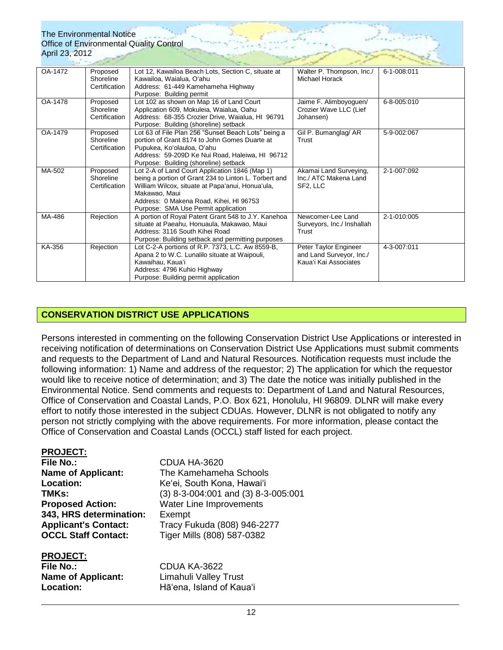| OA-1472 | Proposed      | Lot 12, Kawailoa Beach Lots, Section C, situate at    | Walter P. Thompson, Inc./  | 6-1-008:011 |
|---------|---------------|-------------------------------------------------------|----------------------------|-------------|
|         | Shoreline     | Kawailoa, Waialua, O'ahu                              | Michael Horack             |             |
|         | Certification | Address: 61-449 Kamehameha Highway                    |                            |             |
|         |               | Purpose: Building permit                              |                            |             |
| OA-1478 | Proposed      | Lot 102 as shown on Map 16 of Land Court              | Jaime F. Alimboyoguen/     | 6-8-005:010 |
|         | Shoreline     | Application 609, Mokuleia, Waialua, Oahu              | Crozier Wave LLC (Lief     |             |
|         | Certification | Address: 68-355 Crozier Drive, Waialua, HI 96791      | Johansen)                  |             |
|         |               | Purpose: Building (shoreline) setback                 |                            |             |
| OA-1479 | Proposed      | Lot 63 of File Plan 256 "Sunset Beach Lots" being a   | Gil P. Bumanglag/ AR       | 5-9-002:067 |
|         | Shoreline     | portion of Grant 8174 to John Gomes Duarte at         | Trust                      |             |
|         | Certification | Pupukea, Ko'olauloa, O'ahu                            |                            |             |
|         |               | Address: 59-209D Ke Nui Road, Haleiwa, HI 96712       |                            |             |
|         |               | Purpose: Building (shoreline) setback                 |                            |             |
| MA-502  | Proposed      | Lot 2-A of Land Court Application 1846 (Map 1)        | Akamai Land Surveying,     | 2-1-007:092 |
|         | Shoreline     | being a portion of Grant 234 to Linton L. Torbert and | Inc./ ATC Makena Land      |             |
|         | Certification | William Wilcox, situate at Papa'anui, Honua'ula,      | SF <sub>2</sub> , LLC      |             |
|         |               | Makawao, Maui                                         |                            |             |
|         |               | Address: 0 Makena Road, Kihei, HI 96753               |                            |             |
|         |               | Purpose: SMA Use Permit application                   |                            |             |
| MA-486  | Rejection     | A portion of Royal Patent Grant 548 to J.Y. Kanehoa   | Newcomer-Lee Land          | 2-1-010:005 |
|         |               | situate at Paeahu, Honuaula, Makawao, Maui            | Surveyors, Inc./ Inshallah |             |
|         |               | Address: 3116 South Kihei Road                        | Trust                      |             |
|         |               | Purpose: Building setback and permitting purposes     |                            |             |
| KA-356  | Rejection     | Lot C-2-A portions of R.P. 7373, L.C. Aw 8559-B,      | Peter Taylor Engineer      | 4-3-007:011 |
|         |               | Apana 2 to W.C. Lunalilo situate at Waipouli,         | and Land Surveyor, Inc./   |             |
|         |               | Kawaihau, Kaua'i                                      | Kaua'i Kai Associates      |             |
|         |               | Address: 4796 Kuhio Highway                           |                            |             |
|         |               | Purpose: Building permit application                  |                            |             |

# **CONSERVATION DISTRICT USE APPLICATIONS**

Persons interested in commenting on the following Conservation District Use Applications or interested in receiving notification of determinations on Conservation District Use Applications must submit comments and requests to the Department of Land and Natural Resources. Notification requests must include the following information: 1) Name and address of the requestor; 2) The application for which the requestor would like to receive notice of determination; and 3) The date the notice was initially published in the Environmental Notice. Send comments and requests to: Department of Land and Natural Resources, Office of Conservation and Coastal Lands, P.O. Box 621, Honolulu, HI 96809. DLNR will make every effort to notify those interested in the subject CDUAs. However, DLNR is not obligated to notify any person not strictly complying with the above requirements. For more information, please contact the Office of Conservation and Coastal Lands (OCCL) staff listed for each project.

### **PROJECT:**

| <b>File No.:</b>            | CDUA HA-3620           |
|-----------------------------|------------------------|
| <b>Name of Applicant:</b>   | The Kamehame           |
| Location:                   | Ke'ei, South Kor       |
| TMKs:                       | $(3)$ 8-3-004:001      |
| <b>Proposed Action:</b>     | <b>Water Line Impr</b> |
| 343, HRS determination:     | Exempt                 |
| <b>Applicant's Contact:</b> | Tracy Fukuda (8        |
| <b>OCCL Staff Contact:</b>  | Tiger Mills (808)      |
|                             |                        |

#### **PROJECT:**

| <b>File No.:</b>          |  |
|---------------------------|--|
| <b>Name of Applicant:</b> |  |
| <b>Location:</b>          |  |

**hameha Schools** th Kona, Hawaiʻi **TMKs:** (3) 8-3-004:001 and (3) 8-3-005:001 **Proprovements Applicant's Contact:** Tracy Fukuda (808) 946-2277 **OCCL Staff Contact:** Tiger Mills (808) 587-0382

**File No.:** CDUA KA-3622 **Limahuli Valley Trust Location:** Hāʻena, Island of Kauaʻi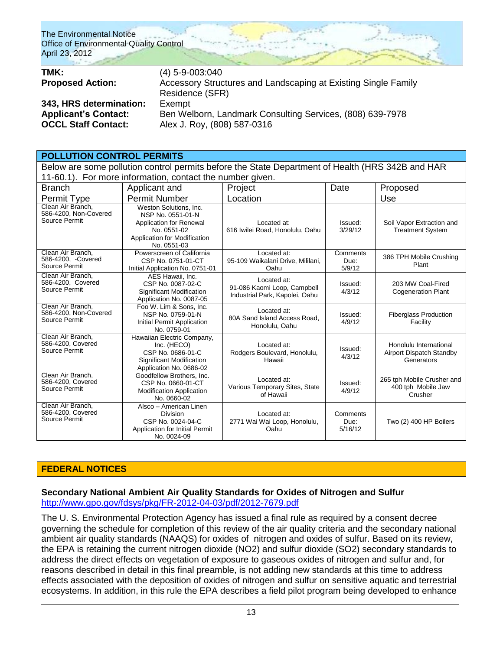| TMK:                        | $(4)$ 5-9-003:040                                              |
|-----------------------------|----------------------------------------------------------------|
| <b>Proposed Action:</b>     | Accessory Structures and Landscaping at Existing Single Family |
|                             | Residence (SFR)                                                |
| 343, HRS determination:     | Exempt                                                         |
| <b>Applicant's Contact:</b> | Ben Welborn, Landmark Consulting Services, (808) 639-7978      |
| <b>OCCL Staff Contact:</b>  | Alex J. Roy, (808) 587-0316                                    |

### **POLLUTION CONTROL PERMITS**

Below are some pollution control permits before the State Department of Health (HRS 342B and HAR 11-60.1). For more information, contact the number given.

| <b>Branch</b>                                               | Applicant and                                                                                                                        | Project                                                                      | Date                        | Proposed                                                         |
|-------------------------------------------------------------|--------------------------------------------------------------------------------------------------------------------------------------|------------------------------------------------------------------------------|-----------------------------|------------------------------------------------------------------|
| Permit Type                                                 | <b>Permit Number</b>                                                                                                                 | Location                                                                     |                             | Use                                                              |
| Clean Air Branch,<br>586-4200, Non-Covered<br>Source Permit | Weston Solutions, Inc.<br>NSP No. 0551-01-N<br>Application for Renewal<br>No. 0551-02<br>Application for Modification<br>No. 0551-03 | Located at:<br>616 Iwilei Road, Honolulu, Oahu                               | Issued:<br>3/29/12          | Soil Vapor Extraction and<br><b>Treatment System</b>             |
| Clean Air Branch.<br>586-4200, -Covered<br>Source Permit    | Powerscreen of California<br>CSP No. 0751-01-CT<br>Initial Application No. 0751-01                                                   | Located at:<br>95-109 Waikalani Drive, Mililani,<br>Oahu                     | Comments<br>Due:<br>5/9/12  | 386 TPH Mobile Crushing<br>Plant                                 |
| Clean Air Branch.<br>586-4200, Covered<br>Source Permit     | AES Hawaii, Inc.<br>CSP No. 0087-02-C<br>Significant Modification<br>Application No. 0087-05                                         | Located at:<br>91-086 Kaomi Loop, Campbell<br>Industrial Park, Kapolei, Oahu | Issued:<br>4/3/12           | 203 MW Coal-Fired<br><b>Cogeneration Plant</b>                   |
| Clean Air Branch,<br>586-4200, Non-Covered<br>Source Permit | Foo W. Lim & Sons. Inc.<br>NSP No. 0759-01-N<br>Initial Permit Application<br>No. 0759-01                                            | Located at:<br>80A Sand Island Access Road.<br>Honolulu, Oahu                | Issued:<br>4/9/12           | <b>Fiberglass Production</b><br>Facility                         |
| Clean Air Branch,<br>586-4200, Covered<br>Source Permit     | Hawaiian Electric Company,<br>Inc. (HECO)<br>CSP No. 0686-01-C<br><b>Significant Modification</b><br>Application No. 0686-02         | Located at:<br>Rodgers Boulevard, Honolulu,<br>Hawaii                        | Issued:<br>4/3/12           | Honolulu International<br>Airport Dispatch Standby<br>Generators |
| Clean Air Branch,<br>586-4200, Covered<br>Source Permit     | Goodfellow Brothers, Inc.<br>CSP No. 0660-01-CT<br><b>Modification Application</b><br>No. 0660-02                                    | Located at:<br>Various Temporary Sites, State<br>of Hawaii                   | Issued:<br>4/9/12           | 265 tph Mobile Crusher and<br>400 tph Mobile Jaw<br>Crusher      |
| Clean Air Branch,<br>586-4200, Covered<br>Source Permit     | Alsco - American Linen<br><b>Division</b><br>CSP No. 0024-04-C<br>Application for Initial Permit<br>No. 0024-09                      | Located at:<br>2771 Wai Wai Loop, Honolulu,<br>Oahu                          | Comments<br>Due:<br>5/16/12 | Two (2) 400 HP Boilers                                           |

### **FEDERAL NOTICES**

### **Secondary National Ambient Air Quality Standards for Oxides of Nitrogen and Sulfur** <http://www.gpo.gov/fdsys/pkg/FR-2012-04-03/pdf/2012-7679.pdf>

The U. S. Environmental Protection Agency has issued a final rule as required by a consent decree governing the schedule for completion of this review of the air quality criteria and the secondary national ambient air quality standards (NAAQS) for oxides of nitrogen and oxides of sulfur. Based on its review, the EPA is retaining the current nitrogen dioxide (NO2) and sulfur dioxide (SO2) secondary standards to address the direct effects on vegetation of exposure to gaseous oxides of nitrogen and sulfur and, for reasons described in detail in this final preamble, is not adding new standards at this time to address effects associated with the deposition of oxides of nitrogen and sulfur on sensitive aquatic and terrestrial ecosystems. In addition, in this rule the EPA describes a field pilot program being developed to enhance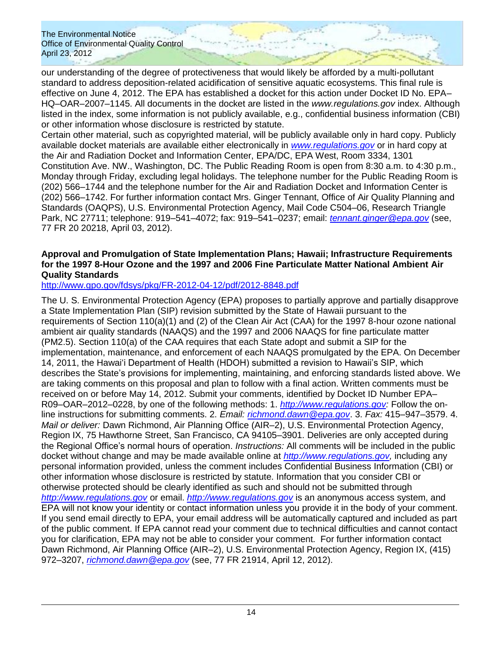our understanding of the degree of protectiveness that would likely be afforded by a multi-pollutant standard to address deposition-related acidification of sensitive aquatic ecosystems. This final rule is effective on June 4, 2012. The EPA has established a docket for this action under Docket ID No. EPA– HQ–OAR–2007–1145. All documents in the docket are listed in the *www.regulations.gov* index. Although listed in the index, some information is not publicly available, e.g., confidential business information (CBI) or other information whose disclosure is restricted by statute.

Certain other material, such as copyrighted material, will be publicly available only in hard copy. Publicly available docket materials are available either electronically in *[www.regulations.gov](http://www.regulations.gov/)* or in hard copy at the Air and Radiation Docket and Information Center, EPA/DC, EPA West, Room 3334, 1301 Constitution Ave. NW., Washington, DC. The Public Reading Room is open from 8:30 a.m. to 4:30 p.m., Monday through Friday, excluding legal holidays. The telephone number for the Public Reading Room is (202) 566–1744 and the telephone number for the Air and Radiation Docket and Information Center is (202) 566–1742. For further information contact Mrs. Ginger Tennant, Office of Air Quality Planning and Standards (OAQPS), U.S. Environmental Protection Agency, Mail Code C504–06, Research Triangle Park, NC 27711; telephone: 919–541–4072; fax: 919–541–0237; email: *[tennant.ginger@epa.gov](mailto:tennant.ginger@epa.gov)* (see, 77 FR 20 20218, April 03, 2012).

### **Approval and Promulgation of State Implementation Plans; Hawaii; Infrastructure Requirements for the 1997 8-Hour Ozone and the 1997 and 2006 Fine Particulate Matter National Ambient Air Quality Standards**

<http://www.gpo.gov/fdsys/pkg/FR-2012-04-12/pdf/2012-8848.pdf>

The U. S. Environmental Protection Agency (EPA) proposes to partially approve and partially disapprove a State Implementation Plan (SIP) revision submitted by the State of Hawaii pursuant to the requirements of Section 110(a)(1) and (2) of the Clean Air Act (CAA) for the 1997 8-hour ozone national ambient air quality standards (NAAQS) and the 1997 and 2006 NAAQS for fine particulate matter (PM2.5). Section 110(a) of the CAA requires that each State adopt and submit a SIP for the implementation, maintenance, and enforcement of each NAAQS promulgated by the EPA. On December 14, 2011, the Hawaiʻi Department of Health (HDOH) submitted a revision to Hawaii's SIP, which describes the State's provisions for implementing, maintaining, and enforcing standards listed above. We are taking comments on this proposal and plan to follow with a final action. Written comments must be received on or before May 14, 2012. Submit your comments, identified by Docket ID Number EPA– R09–OAR–2012–0228, by one of the following methods: 1. *[http://www.regulations.gov:](http://www.regulations.gov/)* Follow the online instructions for submitting comments. 2. *Email: [richmond.dawn@epa.gov](mailto:richmond.dawn@epa.gov)*. 3. *Fax:* 415–947–3579. 4. *Mail or deliver:* Dawn Richmond, Air Planning Office (AIR–2), U.S. Environmental Protection Agency, Region IX, 75 Hawthorne Street, San Francisco, CA 94105–3901. Deliveries are only accepted during the Regional Office's normal hours of operation. *Instructions:* All comments will be included in the public docket without change and may be made available online at *[http://www.regulations.gov,](http://www.regulations.gov/)* including any personal information provided, unless the comment includes Confidential Business Information (CBI) or other information whose disclosure is restricted by statute. Information that you consider CBI or otherwise protected should be clearly identified as such and should not be submitted through *[http://www.regulations.gov](http://www.regulations.gov/)* or email. *[http://www.regulations.gov](http://www.regulations.gov/)* is an anonymous access system, and EPA will not know your identity or contact information unless you provide it in the body of your comment. If you send email directly to EPA, your email address will be automatically captured and included as part of the public comment. If EPA cannot read your comment due to technical difficulties and cannot contact you for clarification, EPA may not be able to consider your comment. For further information contact Dawn Richmond, Air Planning Office (AIR–2), U.S. Environmental Protection Agency, Region IX, (415) 972–3207, *[richmond.dawn@epa.gov](mailto:richmond.dawn@epa.gov)* (see, 77 FR 21914, April 12, 2012).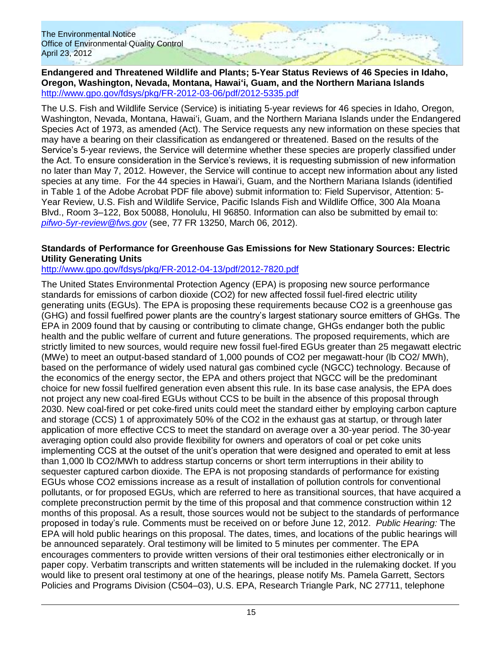**Endangered and Threatened Wildlife and Plants; 5-Year Status Reviews of 46 Species in Idaho, Oregon, Washington, Nevada, Montana, Hawaiʻi, Guam, and the Northern Mariana Islands** <http://www.gpo.gov/fdsys/pkg/FR-2012-03-06/pdf/2012-5335.pdf>

The U.S. Fish and Wildlife Service (Service) is initiating 5-year reviews for 46 species in Idaho, Oregon, Washington, Nevada, Montana, Hawaiʻi, Guam, and the Northern Mariana Islands under the Endangered Species Act of 1973, as amended (Act). The Service requests any new information on these species that may have a bearing on their classification as endangered or threatened. Based on the results of the Service's 5-year reviews, the Service will determine whether these species are properly classified under the Act. To ensure consideration in the Service's reviews, it is requesting submission of new information no later than May 7, 2012. However, the Service will continue to accept new information about any listed species at any time. For the 44 species in Hawai'i, Guam, and the Northern Mariana Islands (identified in Table 1 of the Adobe Acrobat PDF file above) submit information to: Field Supervisor, Attention: 5- Year Review, U.S. Fish and Wildlife Service, Pacific Islands Fish and Wildlife Office, 300 Ala Moana Blvd., Room 3–122, Box 50088, Honolulu, HI 96850. Information can also be submitted by email to: *[pifwo-5yr-review@fws.gov](mailto:pifwo-5yr-review@fws.gov)* (see, 77 FR 13250, March 06, 2012).

### **Standards of Performance for Greenhouse Gas Emissions for New Stationary Sources: Electric Utility Generating Units**

## <http://www.gpo.gov/fdsys/pkg/FR-2012-04-13/pdf/2012-7820.pdf>

The United States Environmental Protection Agency (EPA) is proposing new source performance standards for emissions of carbon dioxide (CO2) for new affected fossil fuel-fired electric utility generating units (EGUs). The EPA is proposing these requirements because CO2 is a greenhouse gas (GHG) and fossil fuelfired power plants are the country's largest stationary source emitters of GHGs. The EPA in 2009 found that by causing or contributing to climate change, GHGs endanger both the public health and the public welfare of current and future generations. The proposed requirements, which are strictly limited to new sources, would require new fossil fuel-fired EGUs greater than 25 megawatt electric (MWe) to meet an output-based standard of 1,000 pounds of CO2 per megawatt-hour (lb CO2/ MWh), based on the performance of widely used natural gas combined cycle (NGCC) technology. Because of the economics of the energy sector, the EPA and others project that NGCC will be the predominant choice for new fossil fuelfired generation even absent this rule. In its base case analysis, the EPA does not project any new coal-fired EGUs without CCS to be built in the absence of this proposal through 2030. New coal-fired or pet coke-fired units could meet the standard either by employing carbon capture and storage (CCS) 1 of approximately 50% of the CO2 in the exhaust gas at startup, or through later application of more effective CCS to meet the standard on average over a 30-year period. The 30-year averaging option could also provide flexibility for owners and operators of coal or pet coke units implementing CCS at the outset of the unit's operation that were designed and operated to emit at less than 1,000 lb CO2/MWh to address startup concerns or short term interruptions in their ability to sequester captured carbon dioxide. The EPA is not proposing standards of performance for existing EGUs whose CO2 emissions increase as a result of installation of pollution controls for conventional pollutants, or for proposed EGUs, which are referred to here as transitional sources, that have acquired a complete preconstruction permit by the time of this proposal and that commence construction within 12 months of this proposal. As a result, those sources would not be subject to the standards of performance proposed in today's rule. Comments must be received on or before June 12, 2012. *Public Hearing:* The EPA will hold public hearings on this proposal. The dates, times, and locations of the public hearings will be announced separately. Oral testimony will be limited to 5 minutes per commenter. The EPA encourages commenters to provide written versions of their oral testimonies either electronically or in paper copy. Verbatim transcripts and written statements will be included in the rulemaking docket. If you would like to present oral testimony at one of the hearings, please notify Ms. Pamela Garrett, Sectors Policies and Programs Division (C504–03), U.S. EPA, Research Triangle Park, NC 27711, telephone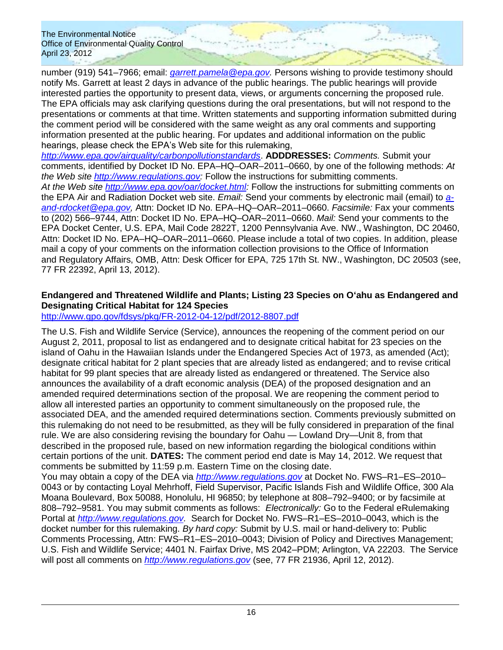number (919) 541–7966; email: *[garrett.pamela@epa.gov.](mailto:garrett.pamela@epa.gov)* Persons wishing to provide testimony should notify Ms. Garrett at least 2 days in advance of the public hearings. The public hearings will provide interested parties the opportunity to present data, views, or arguments concerning the proposed rule. The EPA officials may ask clarifying questions during the oral presentations, but will not respond to the presentations or comments at that time. Written statements and supporting information submitted during the comment period will be considered with the same weight as any oral comments and supporting information presented at the public hearing. For updates and additional information on the public hearings, please check the EPA's Web site for this rulemaking,

*<http://www.epa.gov/airquality/carbonpollutionstandards>*. **ADDDRESSES:** *Comments.* Submit your comments, identified by Docket ID No. EPA–HQ–OAR–2011–0660, by one of the following methods: *At the Web site [http://www.regulations.gov:](http://www.regulations.gov/)* Follow the instructions for submitting comments. *At the Web site [http://www.epa.gov/oar/docket.html:](http://www.epa.gov/oar/docket.html)* Follow the instructions for submitting comments on the EPA Air and Radiation Docket web site. *Email:* Send your comments by electronic mail (email) to *[a](mailto:a-and-rdocket@epa.gov)[and-rdocket@epa.gov,](mailto:a-and-rdocket@epa.gov)* Attn: Docket ID No. EPA–HQ–OAR–2011–0660. *Facsimile:* Fax your comments to (202) 566–9744, Attn: Docket ID No. EPA–HQ–OAR–2011–0660. *Mail:* Send your comments to the EPA Docket Center, U.S. EPA, Mail Code 2822T, 1200 Pennsylvania Ave. NW., Washington, DC 20460, Attn: Docket ID No. EPA–HQ–OAR–2011–0660. Please include a total of two copies. In addition, please mail a copy of your comments on the information collection provisions to the Office of Information and Regulatory Affairs, OMB, Attn: Desk Officer for EPA, 725 17th St. NW., Washington, DC 20503 (see, 77 FR 22392, April 13, 2012).

## **Endangered and Threatened Wildlife and Plants; Listing 23 Species on Oʻahu as Endangered and Designating Critical Habitat for 124 Species**

# <http://www.gpo.gov/fdsys/pkg/FR-2012-04-12/pdf/2012-8807.pdf>

The U.S. Fish and Wildlife Service (Service), announces the reopening of the comment period on our August 2, 2011, proposal to list as endangered and to designate critical habitat for 23 species on the island of Oahu in the Hawaiian Islands under the Endangered Species Act of 1973, as amended (Act); designate critical habitat for 2 plant species that are already listed as endangered; and to revise critical habitat for 99 plant species that are already listed as endangered or threatened. The Service also announces the availability of a draft economic analysis (DEA) of the proposed designation and an amended required determinations section of the proposal. We are reopening the comment period to allow all interested parties an opportunity to comment simultaneously on the proposed rule, the associated DEA, and the amended required determinations section. Comments previously submitted on this rulemaking do not need to be resubmitted, as they will be fully considered in preparation of the final rule. We are also considering revising the boundary for Oahu — Lowland Dry—Unit 8, from that described in the proposed rule, based on new information regarding the biological conditions within certain portions of the unit. **DATES:** The comment period end date is May 14, 2012. We request that comments be submitted by 11:59 p.m. Eastern Time on the closing date.

You may obtain a copy of the DEA via *[http://www.regulations.gov](http://www.regulations.gov/)* at Docket No. FWS–R1–ES–2010– 0043 or by contacting Loyal Mehrhoff, Field Supervisor, Pacific Islands Fish and Wildlife Office, 300 Ala Moana Boulevard, Box 50088, Honolulu, HI 96850; by telephone at 808–792–9400; or by facsimile at 808–792–9581. You may submit comments as follows: *Electronically:* Go to the Federal eRulemaking Portal at *[http://www.regulations.gov.](http://www.regulations.gov/)* Search for Docket No. FWS–R1–ES–2010–0043, which is the docket number for this rulemaking. *By hard copy:* Submit by U.S. mail or hand-delivery to: Public Comments Processing, Attn: FWS–R1–ES–2010–0043; Division of Policy and Directives Management; U.S. Fish and Wildlife Service; 4401 N. Fairfax Drive, MS 2042–PDM; Arlington, VA 22203. The Service will post all comments on *[http://www.regulations.gov](http://www.regulations.gov/)* (see, 77 FR 21936, April 12, 2012).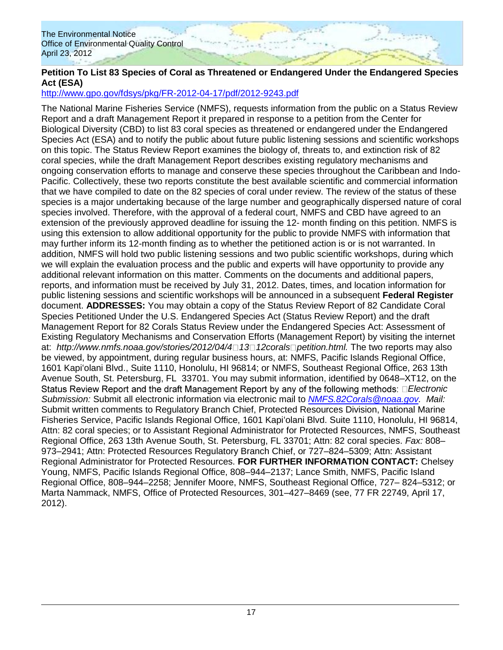## **Petition To List 83 Species of Coral as Threatened or Endangered Under the Endangered Species Act (ESA)**

## <http://www.gpo.gov/fdsys/pkg/FR-2012-04-17/pdf/2012-9243.pdf>

The National Marine Fisheries Service (NMFS), requests information from the public on a Status Review Report and a draft Management Report it prepared in response to a petition from the Center for Biological Diversity (CBD) to list 83 coral species as threatened or endangered under the Endangered Species Act (ESA) and to notify the public about future public listening sessions and scientific workshops on this topic. The Status Review Report examines the biology of, threats to, and extinction risk of 82 coral species, while the draft Management Report describes existing regulatory mechanisms and ongoing conservation efforts to manage and conserve these species throughout the Caribbean and Indo-Pacific. Collectively, these two reports constitute the best available scientific and commercial information that we have compiled to date on the 82 species of coral under review. The review of the status of these species is a major undertaking because of the large number and geographically dispersed nature of coral species involved. Therefore, with the approval of a federal court, NMFS and CBD have agreed to an extension of the previously approved deadline for issuing the 12- month finding on this petition. NMFS is using this extension to allow additional opportunity for the public to provide NMFS with information that may further inform its 12-month finding as to whether the petitioned action is or is not warranted. In addition, NMFS will hold two public listening sessions and two public scientific workshops, during which we will explain the evaluation process and the public and experts will have opportunity to provide any additional relevant information on this matter. Comments on the documents and additional papers, reports, and information must be received by July 31, 2012. Dates, times, and location information for public listening sessions and scientific workshops will be announced in a subsequent **Federal Register**  document. **ADDRESSES:** You may obtain a copy of the Status Review Report of 82 Candidate Coral Species Petitioned Under the U.S. Endangered Species Act (Status Review Report) and the draft Management Report for 82 Corals Status Review under the Endangered Species Act: Assessment of Existing Regulatory Mechanisms and Conservation Efforts (Management Report) by visiting the internet at: *http://www.nmfs.noaa.gov/stories/2012/04/4 13 12corals petition.html.* The two reports may also be viewed, by appointment, during regular business hours, at: NMFS, Pacific Islands Regional Office, 1601 Kapiʻolani Blvd., Suite 1110, Honolulu, HI 96814; or NMFS, Southeast Regional Office, 263 13th Avenue South, St. Petersburg, FL 33701. You may submit information, identified by 0648–XT12, on the Status Review Report and the draft Management Report by any of the following methods: □ *Electronic Submission:* Submit all electronic information via electronic mail to *[NMFS.82Corals@noaa.gov.](mailto:NMFS.82Corals@noaa.gov) Mail:*  Submit written comments to Regulatory Branch Chief, Protected Resources Division, National Marine Fisheries Service, Pacific Islands Regional Office, 1601 Kapiʻolani Blvd. Suite 1110, Honolulu, HI 96814, Attn: 82 coral species; or to Assistant Regional Administrator for Protected Resources, NMFS, Southeast Regional Office, 263 13th Avenue South, St. Petersburg, FL 33701; Attn: 82 coral species. *Fax:* 808– 973–2941; Attn: Protected Resources Regulatory Branch Chief, or 727–824–5309; Attn: Assistant Regional Administrator for Protected Resources. **FOR FURTHER INFORMATION CONTACT:** Chelsey Young, NMFS, Pacific Islands Regional Office, 808–944–2137; Lance Smith, NMFS, Pacific Island Regional Office, 808–944–2258; Jennifer Moore, NMFS, Southeast Regional Office, 727– 824–5312; or Marta Nammack, NMFS, Office of Protected Resources, 301–427–8469 (see, 77 FR 22749, April 17, 2012).